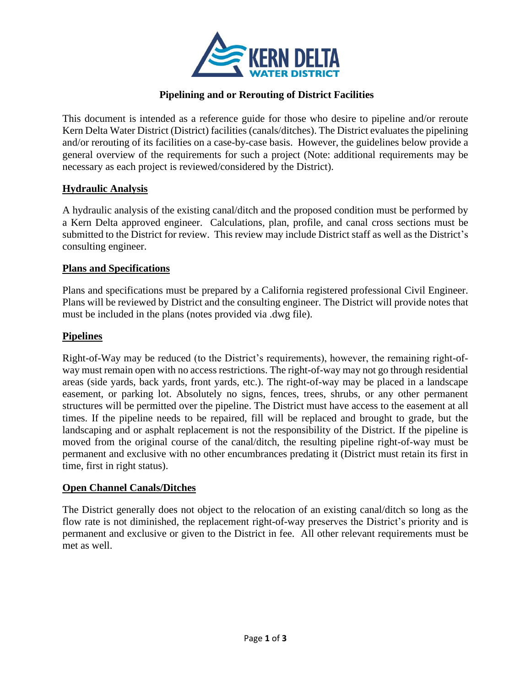

# **Pipelining and or Rerouting of District Facilities**

This document is intended as a reference guide for those who desire to pipeline and/or reroute Kern Delta Water District (District) facilities (canals/ditches). The District evaluates the pipelining and/or rerouting of its facilities on a case-by-case basis. However, the guidelines below provide a general overview of the requirements for such a project (Note: additional requirements may be necessary as each project is reviewed/considered by the District).

### **Hydraulic Analysis**

A hydraulic analysis of the existing canal/ditch and the proposed condition must be performed by a Kern Delta approved engineer. Calculations, plan, profile, and canal cross sections must be submitted to the District for review. This review may include District staff as well as the District's consulting engineer.

#### **Plans and Specifications**

Plans and specifications must be prepared by a California registered professional Civil Engineer. Plans will be reviewed by District and the consulting engineer. The District will provide notes that must be included in the plans (notes provided via .dwg file).

### **Pipelines**

Right-of-Way may be reduced (to the District's requirements), however, the remaining right-ofway must remain open with no access restrictions. The right-of-way may not go through residential areas (side yards, back yards, front yards, etc.). The right-of-way may be placed in a landscape easement, or parking lot. Absolutely no signs, fences, trees, shrubs, or any other permanent structures will be permitted over the pipeline. The District must have access to the easement at all times. If the pipeline needs to be repaired, fill will be replaced and brought to grade, but the landscaping and or asphalt replacement is not the responsibility of the District. If the pipeline is moved from the original course of the canal/ditch, the resulting pipeline right-of-way must be permanent and exclusive with no other encumbrances predating it (District must retain its first in time, first in right status).

#### **Open Channel Canals/Ditches**

The District generally does not object to the relocation of an existing canal/ditch so long as the flow rate is not diminished, the replacement right-of-way preserves the District's priority and is permanent and exclusive or given to the District in fee. All other relevant requirements must be met as well.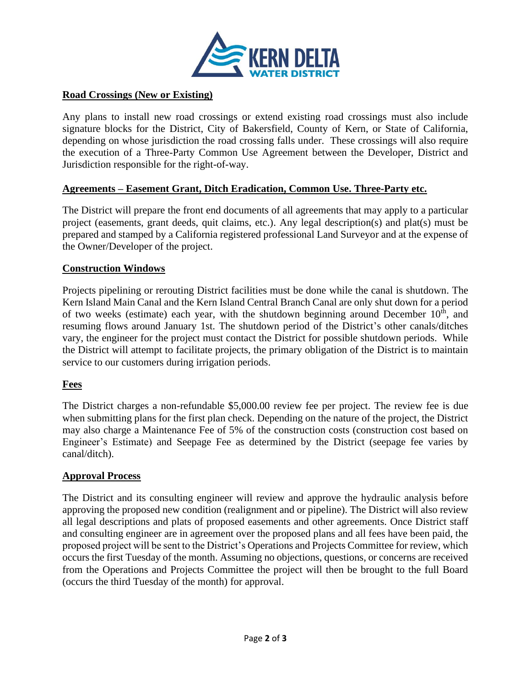

### **Road Crossings (New or Existing)**

Any plans to install new road crossings or extend existing road crossings must also include signature blocks for the District, City of Bakersfield, County of Kern, or State of California, depending on whose jurisdiction the road crossing falls under. These crossings will also require the execution of a Three-Party Common Use Agreement between the Developer, District and Jurisdiction responsible for the right-of-way.

### **Agreements – Easement Grant, Ditch Eradication, Common Use. Three-Party etc.**

The District will prepare the front end documents of all agreements that may apply to a particular project (easements, grant deeds, quit claims, etc.). Any legal description(s) and plat(s) must be prepared and stamped by a California registered professional Land Surveyor and at the expense of the Owner/Developer of the project.

### **Construction Windows**

Projects pipelining or rerouting District facilities must be done while the canal is shutdown. The Kern Island Main Canal and the Kern Island Central Branch Canal are only shut down for a period of two weeks (estimate) each year, with the shutdown beginning around December  $10<sup>th</sup>$ , and resuming flows around January 1st. The shutdown period of the District's other canals/ditches vary, the engineer for the project must contact the District for possible shutdown periods. While the District will attempt to facilitate projects, the primary obligation of the District is to maintain service to our customers during irrigation periods.

#### **Fees**

The District charges a non-refundable \$5,000.00 review fee per project. The review fee is due when submitting plans for the first plan check. Depending on the nature of the project, the District may also charge a Maintenance Fee of 5% of the construction costs (construction cost based on Engineer's Estimate) and Seepage Fee as determined by the District (seepage fee varies by canal/ditch).

#### **Approval Process**

The District and its consulting engineer will review and approve the hydraulic analysis before approving the proposed new condition (realignment and or pipeline). The District will also review all legal descriptions and plats of proposed easements and other agreements. Once District staff and consulting engineer are in agreement over the proposed plans and all fees have been paid, the proposed project will be sent to the District's Operations and Projects Committee for review, which occurs the first Tuesday of the month. Assuming no objections, questions, or concerns are received from the Operations and Projects Committee the project will then be brought to the full Board (occurs the third Tuesday of the month) for approval.